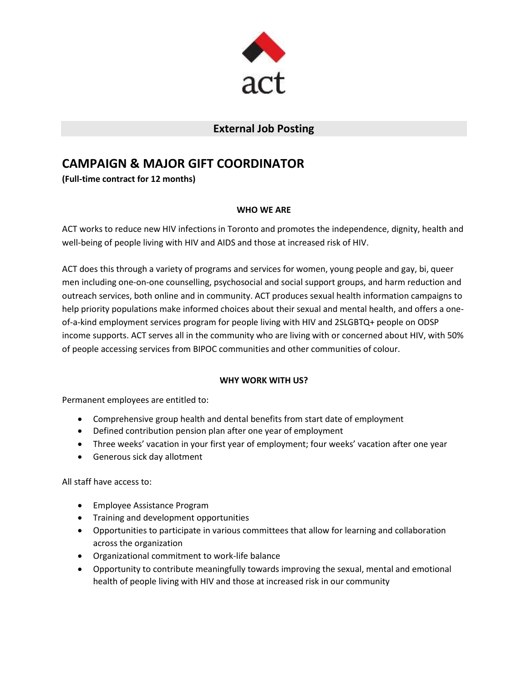

## **External Job Posting**

# **CAMPAIGN & MAJOR GIFT COORDINATOR**

**(Full-time contract for 12 months)**

## **WHO WE ARE**

ACT works to reduce new HIV infections in Toronto and promotes the independence, dignity, health and well-being of people living with HIV and AIDS and those at increased risk of HIV.

ACT does this through a variety of programs and services for women, young people and gay, bi, queer men including one-on-one counselling, psychosocial and social support groups, and harm reduction and outreach services, both online and in community. ACT produces sexual health information campaigns to help priority populations make informed choices about their sexual and mental health, and offers a oneof-a-kind employment services program for people living with HIV and 2SLGBTQ+ people on ODSP income supports. ACT serves all in the community who are living with or concerned about HIV, with 50% of people accessing services from BIPOC communities and other communities of colour.

## **WHY WORK WITH US?**

Permanent employees are entitled to:

- Comprehensive group health and dental benefits from start date of employment
- Defined contribution pension plan after one year of employment
- Three weeks' vacation in your first year of employment; four weeks' vacation after one year
- Generous sick day allotment

All staff have access to:

- Employee Assistance Program
- Training and development opportunities
- Opportunities to participate in various committees that allow for learning and collaboration across the organization
- Organizational commitment to work-life balance
- Opportunity to contribute meaningfully towards improving the sexual, mental and emotional health of people living with HIV and those at increased risk in our community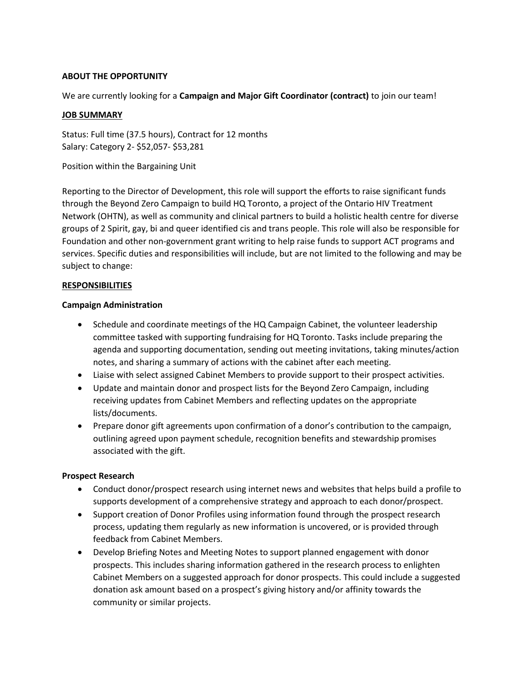#### **ABOUT THE OPPORTUNITY**

We are currently looking for a **Campaign and Major Gift Coordinator (contract)** to join our team!

#### **JOB SUMMARY**

Status: Full time (37.5 hours), Contract for 12 months Salary: Category 2- \$52,057- \$53,281

Position within the Bargaining Unit

Reporting to the Director of Development, this role will support the efforts to raise significant funds through the Beyond Zero Campaign to build HQ Toronto, a project of the Ontario HIV Treatment Network (OHTN), as well as community and clinical partners to build a holistic health centre for diverse groups of 2 Spirit, gay, bi and queer identified cis and trans people. This role will also be responsible for Foundation and other non-government grant writing to help raise funds to support ACT programs and services. Specific duties and responsibilities will include, but are not limited to the following and may be subject to change:

#### **RESPONSIBILITIES**

#### **Campaign Administration**

- Schedule and coordinate meetings of the HQ Campaign Cabinet, the volunteer leadership committee tasked with supporting fundraising for HQ Toronto. Tasks include preparing the agenda and supporting documentation, sending out meeting invitations, taking minutes/action notes, and sharing a summary of actions with the cabinet after each meeting.
- Liaise with select assigned Cabinet Members to provide support to their prospect activities.
- Update and maintain donor and prospect lists for the Beyond Zero Campaign, including receiving updates from Cabinet Members and reflecting updates on the appropriate lists/documents.
- Prepare donor gift agreements upon confirmation of a donor's contribution to the campaign, outlining agreed upon payment schedule, recognition benefits and stewardship promises associated with the gift.

#### **Prospect Research**

- Conduct donor/prospect research using internet news and websites that helps build a profile to supports development of a comprehensive strategy and approach to each donor/prospect.
- Support creation of Donor Profiles using information found through the prospect research process, updating them regularly as new information is uncovered, or is provided through feedback from Cabinet Members.
- Develop Briefing Notes and Meeting Notes to support planned engagement with donor prospects. This includes sharing information gathered in the research process to enlighten Cabinet Members on a suggested approach for donor prospects. This could include a suggested donation ask amount based on a prospect's giving history and/or affinity towards the community or similar projects.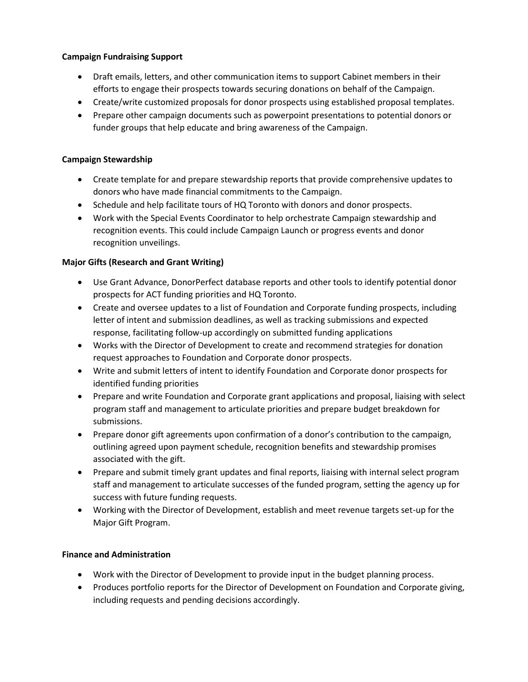### **Campaign Fundraising Support**

- Draft emails, letters, and other communication items to support Cabinet members in their efforts to engage their prospects towards securing donations on behalf of the Campaign.
- Create/write customized proposals for donor prospects using established proposal templates.
- Prepare other campaign documents such as powerpoint presentations to potential donors or funder groups that help educate and bring awareness of the Campaign.

#### **Campaign Stewardship**

- Create template for and prepare stewardship reports that provide comprehensive updates to donors who have made financial commitments to the Campaign.
- Schedule and help facilitate tours of HQ Toronto with donors and donor prospects.
- Work with the Special Events Coordinator to help orchestrate Campaign stewardship and recognition events. This could include Campaign Launch or progress events and donor recognition unveilings.

## **Major Gifts (Research and Grant Writing)**

- Use Grant Advance, DonorPerfect database reports and other tools to identify potential donor prospects for ACT funding priorities and HQ Toronto.
- Create and oversee updates to a list of Foundation and Corporate funding prospects, including letter of intent and submission deadlines, as well as tracking submissions and expected response, facilitating follow-up accordingly on submitted funding applications
- Works with the Director of Development to create and recommend strategies for donation request approaches to Foundation and Corporate donor prospects.
- Write and submit letters of intent to identify Foundation and Corporate donor prospects for identified funding priorities
- Prepare and write Foundation and Corporate grant applications and proposal, liaising with select program staff and management to articulate priorities and prepare budget breakdown for submissions.
- Prepare donor gift agreements upon confirmation of a donor's contribution to the campaign, outlining agreed upon payment schedule, recognition benefits and stewardship promises associated with the gift.
- Prepare and submit timely grant updates and final reports, liaising with internal select program staff and management to articulate successes of the funded program, setting the agency up for success with future funding requests.
- Working with the Director of Development, establish and meet revenue targets set-up for the Major Gift Program.

#### **Finance and Administration**

- Work with the Director of Development to provide input in the budget planning process.
- Produces portfolio reports for the Director of Development on Foundation and Corporate giving, including requests and pending decisions accordingly.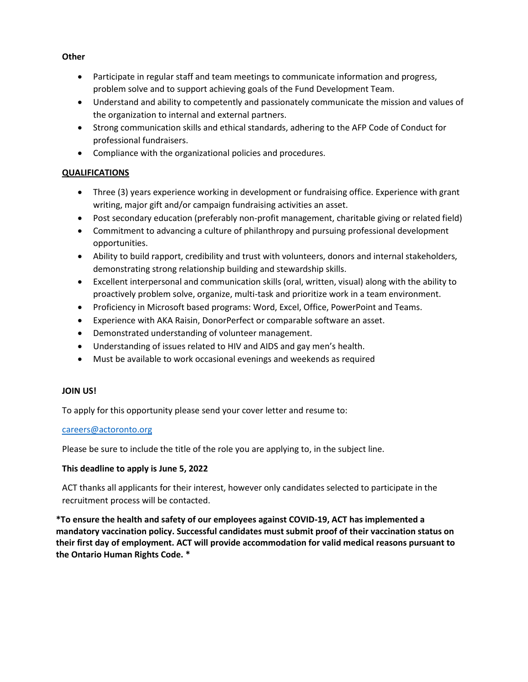- Participate in regular staff and team meetings to communicate information and progress, problem solve and to support achieving goals of the Fund Development Team.
- Understand and ability to competently and passionately communicate the mission and values of the organization to internal and external partners.
- Strong communication skills and ethical standards, adhering to the AFP Code of Conduct for professional fundraisers.
- Compliance with the organizational policies and procedures.

## **QUALIFICATIONS**

- Three (3) years experience working in development or fundraising office. Experience with grant writing, major gift and/or campaign fundraising activities an asset.
- Post secondary education (preferably non-profit management, charitable giving or related field)
- Commitment to advancing a culture of philanthropy and pursuing professional development opportunities.
- Ability to build rapport, credibility and trust with volunteers, donors and internal stakeholders, demonstrating strong relationship building and stewardship skills.
- Excellent interpersonal and communication skills (oral, written, visual) along with the ability to proactively problem solve, organize, multi-task and prioritize work in a team environment.
- Proficiency in Microsoft based programs: Word, Excel, Office, PowerPoint and Teams.
- Experience with AKA Raisin, DonorPerfect or comparable software an asset.
- Demonstrated understanding of volunteer management.
- Understanding of issues related to HIV and AIDS and gay men's health.
- Must be available to work occasional evenings and weekends as required

## **JOIN US!**

To apply for this opportunity please send your cover letter and resume to:

#### [careers@actoronto.org](mailto:careers@actoronto.org)

Please be sure to include the title of the role you are applying to, in the subject line.

## **This deadline to apply is June 5, 2022**

ACT thanks all applicants for their interest, however only candidates selected to participate in the recruitment process will be contacted.

**\*To ensure the health and safety of our employees against COVID-19, ACT has implemented a mandatory vaccination policy. Successful candidates must submit proof of their vaccination status on their first day of employment. ACT will provide accommodation for valid medical reasons pursuant to the Ontario Human Rights Code. \***

#### **Other**